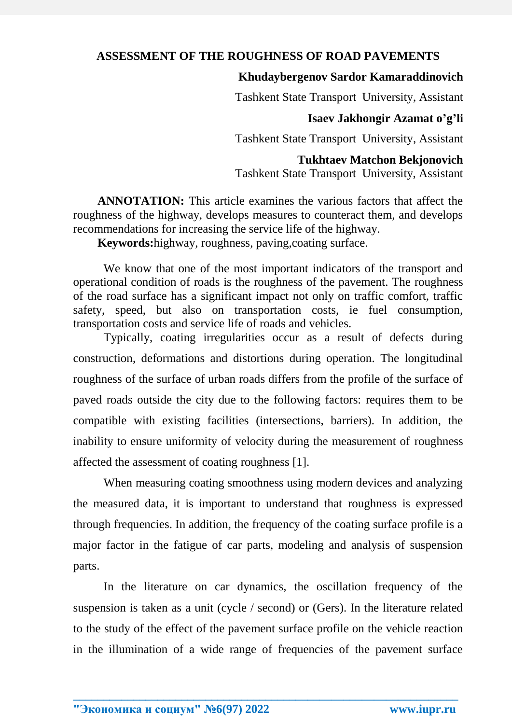## **ASSESSMENT OF THE ROUGHNESS OF ROAD PAVEMENTS**

# **Khudaybergenov Sardor Kamaraddinovich**

Tashkent State Transport University, Assistant

## **Isaev Jakhongir Azamat o'g'li**

Tashkent State Transport University, Assistant

## **Tukhtaev Matchon Bekjonovich**

Tashkent State Transport University, Assistant

**ANNOTATION:** This article examines the various factors that affect the roughness of the highway, develops measures to counteract them, and develops recommendations for increasing the service life of the highway.

**Keywords:**highway, roughness, paving,coating surface.

We know that one of the most important indicators of the transport and operational condition of roads is the roughness of the pavement. The roughness of the road surface has a significant impact not only on traffic comfort, traffic safety, speed, but also on transportation costs, ie fuel consumption, transportation costs and service life of roads and vehicles.

Typically, coating irregularities occur as a result of defects during construction, deformations and distortions during operation. The longitudinal roughness of the surface of urban roads differs from the profile of the surface of paved roads outside the city due to the following factors: requires them to be compatible with existing facilities (intersections, barriers). In addition, the inability to ensure uniformity of velocity during the measurement of roughness affected the assessment of coating roughness [1].

When measuring coating smoothness using modern devices and analyzing the measured data, it is important to understand that roughness is expressed through frequencies. In addition, the frequency of the coating surface profile is a major factor in the fatigue of car parts, modeling and analysis of suspension parts.

In the literature on car dynamics, the oscillation frequency of the suspension is taken as a unit (cycle / second) or (Gers). In the literature related to the study of the effect of the pavement surface profile on the vehicle reaction in the illumination of a wide range of frequencies of the pavement surface

**\_\_\_\_\_\_\_\_\_\_\_\_\_\_\_\_\_\_\_\_\_\_\_\_\_\_\_\_\_\_\_\_\_\_\_\_\_\_\_\_\_\_\_\_\_\_\_\_\_\_\_\_\_\_\_\_\_\_\_\_\_\_\_\_**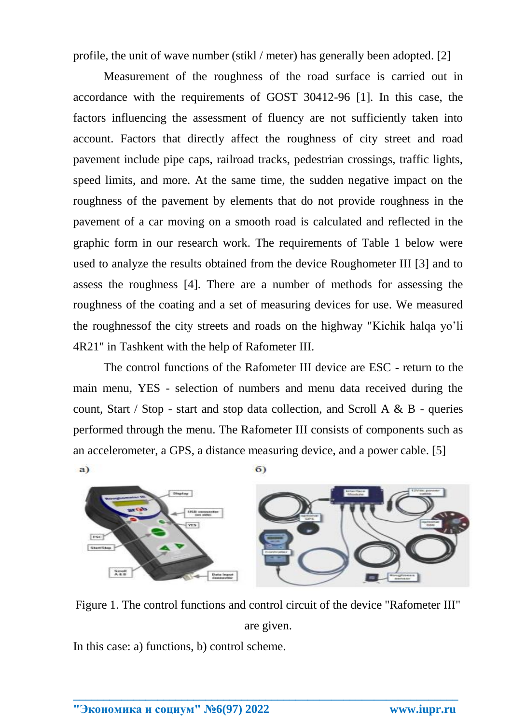profile, the unit of wave number (stikl / meter) has generally been adopted. [2]

Measurement of the roughness of the road surface is carried out in accordance with the requirements of GOST 30412-96 [1]. In this case, the factors influencing the assessment of fluency are not sufficiently taken into account. Factors that directly affect the roughness of city street and road pavement include pipe caps, railroad tracks, pedestrian crossings, traffic lights, speed limits, and more. At the same time, the sudden negative impact on the roughness of the pavement by elements that do not provide roughness in the pavement of a car moving on a smooth road is calculated and reflected in the graphic form in our research work. The requirements of Table 1 below were used to analyze the results obtained from the device Roughometer III [3] and to assess the roughness [4]. There are a number of methods for assessing the roughness of the coating and a set of measuring devices for use. We measured the roughnessof the city streets and roads on the highway "Kichik halqa yo'li 4R21" in Tashkent with the help of Rafometer III.

The control functions of the Rafometer III device are ESC - return to the main menu, YES - selection of numbers and menu data received during the count, Start / Stop - start and stop data collection, and Scroll A  $\&$  B - queries performed through the menu. The Rafometer III consists of components such as an accelerometer, a GPS, a distance measuring device, and a power cable. [5] a)  $\sigma$ 



Figure 1. The control functions and control circuit of the device "Rafometer III" are given.

**\_\_\_\_\_\_\_\_\_\_\_\_\_\_\_\_\_\_\_\_\_\_\_\_\_\_\_\_\_\_\_\_\_\_\_\_\_\_\_\_\_\_\_\_\_\_\_\_\_\_\_\_\_\_\_\_\_\_\_\_\_\_\_\_**

In this case: a) functions, b) control scheme.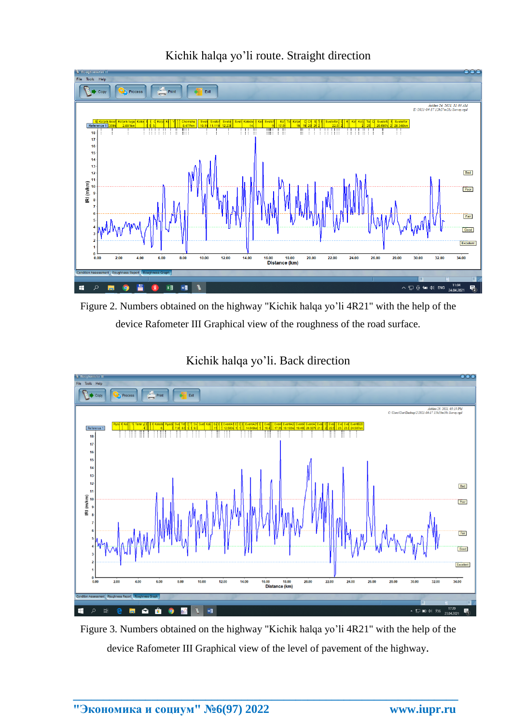

Kichik halqa yo'li route. Straight direction

Figure 2. Numbers obtained on the highway "Kichik halqa yo'li 4R21" with the help of the device Rafometer III Graphical view of the roughness of the road surface.







Figure 3. Numbers obtained on the highway "Kichik halqa yo'li 4R21" with the help of the device Rafometer III Graphical view of the level of pavement of the highway.

**\_\_\_\_\_\_\_\_\_\_\_\_\_\_\_\_\_\_\_\_\_\_\_\_\_\_\_\_\_\_\_\_\_\_\_\_\_\_\_\_\_\_\_\_\_\_\_\_\_\_\_\_\_\_\_\_\_\_\_\_\_\_\_\_**

Tools Hel  $\mathbb{R}$  +  $_{\text{cop}}$ 

> Refere  $18$  $\overline{17}$  $16$  $\overline{16}$  $\overline{1}$  $\overline{1}$  $\overline{12}$